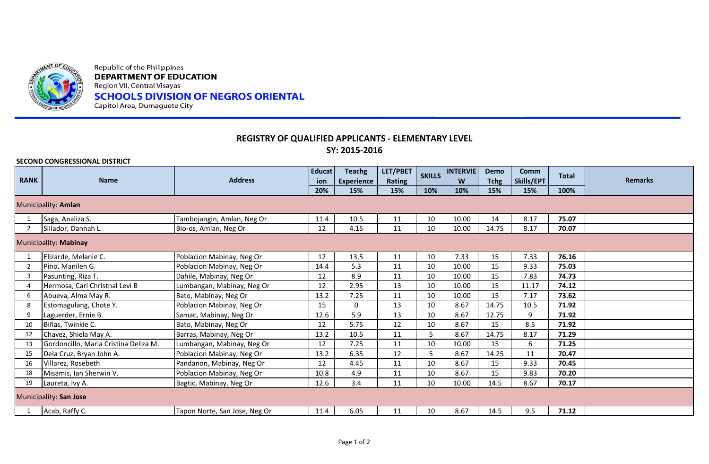

Republic of the Philippines **DEPARTMENT OF EDUCATION** Region VII, Central Visayas **SCHOOLS DIVISION OF NEGROS ORIENTAL** Capitol Area, Dumaguete City

## **REGISTRY OF QUALIFIED APPLICANTS - ELEMENTARY LEVEL SY: 2015-2016**

| SECOND CONGRESSIONAL DISTRICT |                                       |                               |                      |                                    |                           |               |                      |                     |                    |              |                |
|-------------------------------|---------------------------------------|-------------------------------|----------------------|------------------------------------|---------------------------|---------------|----------------------|---------------------|--------------------|--------------|----------------|
| <b>RANK</b>                   | <b>Name</b>                           | <b>Address</b>                | <b>Educat</b><br>ion | <b>Teachg</b><br><b>Experience</b> | LET/PBET<br><b>Rating</b> | <b>SKILLS</b> | <b>INTERVIE</b><br>W | Demo<br><b>Tchg</b> | Comm<br>Skills/EPT | <b>Total</b> | <b>Remarks</b> |
|                               |                                       |                               | 20%                  | 15%                                | 15%                       | 10%           | 10%                  | 15%                 | 15%                | 100%         |                |
| Municipality: Amlan           |                                       |                               |                      |                                    |                           |               |                      |                     |                    |              |                |
|                               | Saga, Analiza S.                      | Tambojangin, Amlan, Neg Or    | 11.4                 | 10.5                               | 11                        | 10            | 10.00                | 14                  | 8.17               | 75.07        |                |
| 2                             | Sillador, Dannah L.                   | Bio-os, Amlan, Neg Or         | 12                   | 4.15                               | 11                        | 10            | 10.00                | 14.75               | 8.17               | 70.07        |                |
| Municipality: Mabinay         |                                       |                               |                      |                                    |                           |               |                      |                     |                    |              |                |
|                               | Elizarde, Melanie C.                  | Poblacion Mabinay, Neg Or     | 12                   | 13.5                               | 11                        | 10            | 7.33                 | 15                  | 7.33               | 76.16        |                |
| 2                             | Pino, Manilen G.                      | Poblacion Mabinay, Neg Or     | 14.4                 | 5.3                                | 11                        | 10            | 10.00                | 15                  | 9.33               | 75.03        |                |
| $\overline{3}$                | Pasunting, Riza T.                    | Dahile, Mabinay, Neg Or       | 12                   | 8.9                                | 11                        | 10            | 10.00                | 15                  | 7.83               | 74.73        |                |
| 4                             | Hermosa, Carl Christnal Levi B        | Lumbangan, Mabinay, Neg Or    | 12                   | 2.95                               | 13                        | 10            | 10.00                | 15                  | 11.17              | 74.12        |                |
| 6                             | Abueva, Alma May R.                   | Bato, Mabinay, Neg Or         | 13.2                 | 7.25                               | 11                        | 10            | 10.00                | 15                  | 7.17               | 73.62        |                |
| 8                             | Estomagulang, Chote Y.                | Poblacion Mabinay, Neg Or     | 15                   | $\mathbf 0$                        | 13                        | 10            | 8.67                 | 14.75               | 10.5               | 71.92        |                |
| 9                             | Laguerder, Ernie B.                   | Samac, Mabinay, Neg Or        | 12.6                 | 5.9                                | 13                        | 10            | 8.67                 | 12.75               | 9                  | 71.92        |                |
| 10                            | Biñas, Twinkie C.                     | Bato, Mabinay, Neg Or         | 12                   | 5.75                               | 12                        | 10            | 8.67                 | 15                  | 8.5                | 71.92        |                |
| 12                            | Chavez, Shiela May A.                 | Barras, Mabinay, Neg Or       | 13.2                 | 10.5                               | 11                        | 5.            | 8.67                 | 14.75               | 8.17               | 71.29        |                |
| 13                            | Gordoncillo, Maria Cristina Deliza M. | Lumbangan, Mabinay, Neg Or    | 12                   | 7.25                               | 11                        | 10            | 10.00                | 15                  | 6                  | 71.25        |                |
| 15                            | Dela Cruz, Bryan John A.              | Poblacion Mabinay, Neg Or     | 13.2                 | 6.35                               | 12                        |               | 8.67                 | 14.25               | 11                 | 70.47        |                |
| 16                            | Villarez, Rosebeth                    | Pandanon, Mabinay, Neg Or     | 12                   | 4.45                               | 11                        | 10            | 8.67                 | 15                  | 9.33               | 70.45        |                |
| 18                            | Misamis, Ian Sherwin V.               | Poblacion Mabinay, Neg Or     | 10.8                 | 4.9                                | 11                        | 10            | 8.67                 | 15                  | 9.83               | 70.20        |                |
| 19                            | Laureta, Ivy A.                       | Bagtic, Mabinay, Neg Or       | 12.6                 | 3.4                                | 11                        | 10            | 10.00                | 14.5                | 8.67               | 70.17        |                |
| Municipality: San Jose        |                                       |                               |                      |                                    |                           |               |                      |                     |                    |              |                |
|                               | Acab, Raffy C.                        | Tapon Norte, San Jose, Neg Or | 11.4                 | 6.05                               | 11                        | 10            | 8.67                 | 14.5                | 9.5                | 71.12        |                |
|                               |                                       |                               |                      |                                    |                           |               |                      |                     |                    |              |                |